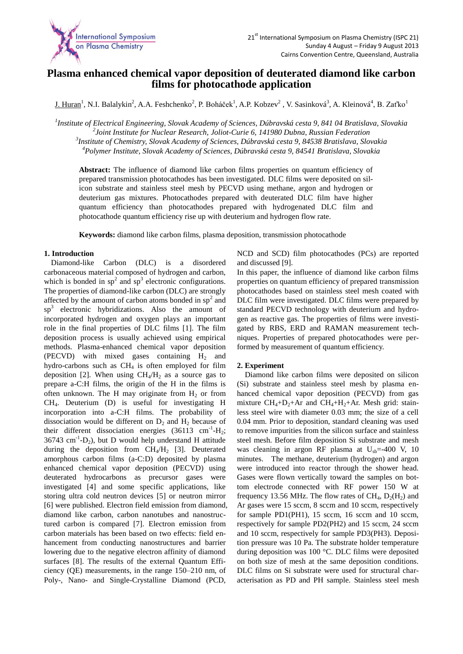

# **Plasma enhanced chemical vapor deposition of deuterated diamond like carbon films for photocathode application**

 $\underline{J}$ . Huran<sup>1</sup>, N.I. Balalykin<sup>2</sup>, A.A. Feshchenko<sup>2</sup>, P. Boháček<sup>1</sup>, A.P. Kobzev<sup>2</sup>, V. Sasinková<sup>3</sup>, A. Kleinová<sup>4</sup>, B. Zaťko<sup>1</sup>

 *Institute of Electrical Engineering, Slovak Academy of Sciences, Dúbravská cesta 9, 841 04 Bratislava, Slovakia Joint Institute for Nuclear Research, Joliot-Curie 6, 141980 Dubna, Russian Federation Institute of Chemistry, Slovak Academy of Sciences, Dúbravská cesta 9, 84538 Bratislava, Slovakia Polymer Institute, Slovak Academy of Sciences, Dúbravská cesta 9, 84541 Bratislava, Slovakia*

**Abstract:** The influence of diamond like carbon films properties on quantum efficiency of prepared transmission photocathodes has been investigated. DLC films were deposited on silicon substrate and stainless steel mesh by PECVD using methane, argon and hydrogen or deuterium gas mixtures. Photocathodes prepared with deuterated DLC film have higher quantum efficiency than photocathodes prepared with hydrogenated DLC film and photocathode quantum efficiency rise up with deuterium and hydrogen flow rate.

**Keywords:** diamond like carbon films, plasma deposition, transmission photocathode

## **1. Introduction**

Diamond-like Carbon (DLC) is a disordered carbonaceous material composed of hydrogen and carbon, which is bonded in  $sp<sup>2</sup>$  and  $sp<sup>3</sup>$  electronic configurations. The properties of diamond-like carbon (DLC) are strongly affected by the amount of carbon atoms bonded in  $sp<sup>2</sup>$  and sp<sup>3</sup> electronic hybridizations. Also the amount of incorporated hydrogen and oxygen plays an important role in the final properties of DLC films [1]. The film deposition process is usually achieved using empirical methods. Plasma-enhanced chemical vapor deposition (PECVD) with mixed gases containing  $H_2$  and hydro-carbons such as  $CH<sub>4</sub>$  is often employed for film deposition [2]. When using  $CH_4/H_2$  as a source gas to prepare a-C:H films, the origin of the H in the films is often unknown. The H may originate from  $H_2$  or from CH4. Deuterium (D) is useful for investigating H incorporation into a-C:H films. The probability of dissociation would be different on  $D_2$  and  $H_2$  because of their different dissociation energies  $(36113 \text{ cm}^{-1} \text{-H}_2;$  $36743$  cm<sup>-1</sup>-D<sub>2</sub>), but D would help understand H attitude during the deposition from  $CH_4/H_2$  [3]. Deuterated amorphous carbon films (a-C:D) deposited by plasma enhanced chemical vapor deposition (PECVD) using deuterated hydrocarbons as precursor gases were investigated [4] and some specific applications, like storing ultra cold neutron devices [5] or neutron mirror [6] were published. Electron field emission from diamond, diamond like carbon, carbon nanotubes and nanostructured carbon is compared [7]. Electron emission from carbon materials has been based on two effects: field enhancement from conducting nanostructures and barrier lowering due to the negative electron affinity of diamond surfaces [8]. The results of the external Quantum Efficiency (QE) measurements, in the range 150–210 nm, of Poly-, Nano- and Single-Crystalline Diamond (PCD,

NCD and SCD) film photocathodes (PCs) are reported and discussed [9].

In this paper, the influence of diamond like carbon films properties on quantum efficiency of prepared transmission photocathodes based on stainless steel mesh coated with DLC film were investigated. DLC films were prepared by standard PECVD technology with deuterium and hydrogen as reactive gas. The properties of films were investigated by RBS, ERD and RAMAN measurement techniques. Properties of prepared photocathodes were performed by measurement of quantum efficiency.

## **2. Experiment**

 Diamond like carbon films were deposited on silicon (Si) substrate and stainless steel mesh by plasma enhanced chemical vapor deposition (PECVD) from gas mixture  $CH_4+D_2+Ar$  and  $CH_4+H_2+Ar$ . Mesh grid: stainless steel wire with diameter 0.03 mm; the size of a cell 0.04 mm. Prior to deposition, standard cleaning was used to remove impurities from the silicon surface and stainless steel mesh. Before film deposition Si substrate and mesh was cleaning in argon RF plasma at U<sub>sb</sub>=-400 V, 10 minutes. The methane, deuterium (hydrogen) and argon were introduced into reactor through the shower head. Gases were flown vertically toward the samples on bottom electrode connected with RF power 150 W at frequency 13.56 MHz. The flow rates of  $CH_4$ ,  $D_2(H_2)$  and Ar gases were 15 sccm, 8 sccm and 10 sccm, respectively for sample PD1(PH1), 15 sccm, 16 sccm and 10 sccm, respectively for sample PD2(PH2) and 15 sccm, 24 sccm and 10 sccm, respectively for sample PD3(PH3). Deposition pressure was 10 Pa. The substrate holder temperature during deposition was 100 °C. DLC films were deposited on both size of mesh at the same deposition conditions. DLC films on Si substrate were used for structural characterisation as PD and PH sample. Stainless steel mesh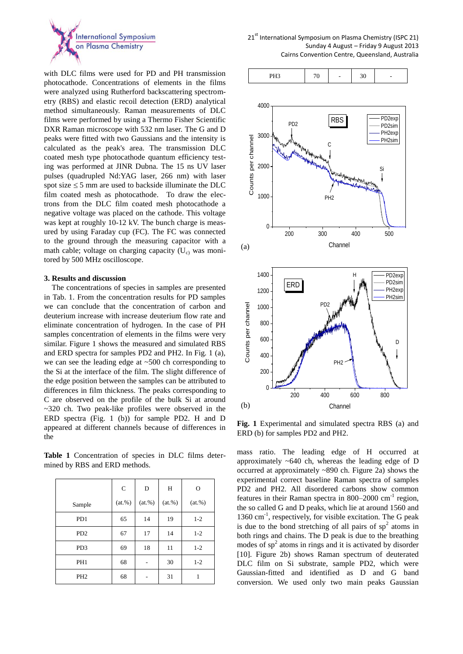

with DLC films were used for PD and PH transmission photocathode. Concentrations of elements in the films were analyzed using Rutherford backscattering spectrometry (RBS) and elastic recoil detection (ERD) analytical method simultaneously. Raman measurements of DLC films were performed by using a Thermo Fisher Scientific DXR Raman microscope with 532 nm laser. The G and D peaks were fitted with two Gaussians and the intensity is calculated as the peak's area. The transmission DLC coated mesh type photocathode quantum efficiency testing was performed at JINR Dubna. The 15 ns UV laser pulses (quadrupled Nd:YAG laser, 266 nm) with laser spot size  $\leq$  5 mm are used to backside illuminate the DLC film coated mesh as photocathode. To draw the electrons from the DLC film coated mesh photocathode a negative voltage was placed on the cathode. This voltage was kept at roughly 10-12 kV. The bunch charge is measured by using Faraday cup (FC). The FC was connected to the ground through the measuring capacitor with a math cable; voltage on charging capacity  $(U_c)$  was monitored by 500 MHz oscilloscope.

#### **3. Results and discussion**

 The concentrations of species in samples are presented in Tab. 1. From the concentration results for PD samples we can conclude that the concentration of carbon and deuterium increase with increase deuterium flow rate and eliminate concentration of hydrogen. In the case of PH samples concentration of elements in the films were very similar. Figure 1 shows the measured and simulated RBS and ERD spectra for samples PD2 and PH2. In Fig. 1 (a), we can see the leading edge at ~500 ch corresponding to the Si at the interface of the film. The slight difference of the edge position between the samples can be attributed to differences in film thickness. The peaks corresponding to C are observed on the profile of the bulk Si at around ~320 ch. Two peak-like profiles were observed in the ERD spectra (Fig. 1 (b)) for sample PD2. H and D appeared at different channels because of differences in the

**Table 1** Concentration of species in DLC films determined by RBS and ERD methods.

|                             | $\mathbf C$ | D         | H         | $\circ$   |
|-----------------------------|-------------|-----------|-----------|-----------|
| Sample                      | $(at.\%)$   | $(at.\%)$ | $(at.\%)$ | $(at.\%)$ |
| P <sub>D</sub> 1            | 65          | 14        | 19        | $1 - 2$   |
| P <sub>D</sub> <sub>2</sub> | 67          | 17        | 14        | $1 - 2$   |
| PD <sub>3</sub>             | 69          | 18        | 11        | $1 - 2$   |
| PH <sub>1</sub>             | 68          |           | 30        | $1 - 2$   |
| PH <sub>2</sub>             | 68          |           | 31        | 1         |



**Fig. 1** Experimental and simulated spectra RBS (a) and ERD (b) for samples PD2 and PH2.

mass ratio. The leading edge of H occurred at approximately ~640 ch, whereas the leading edge of D occurred at approximately ~890 ch. Figure 2a) shows the experimental correct baseline Raman spectra of samples PD2 and PH2. All disordered carbons show common features in their Raman spectra in  $800-2000$  cm<sup>-1</sup> region, the so called G and D peaks, which lie at around 1560 and 1360 cm<sup>-1</sup>, respectively, for visible excitation. The G peak is due to the bond stretching of all pairs of  $sp<sup>2</sup>$  atoms in both rings and chains. The D peak is due to the breathing modes of  $sp<sup>2</sup>$  atoms in rings and it is activated by disorder [10]. Figure 2b) shows Raman spectrum of deuterated DLC film on Si substrate, sample PD2, which were Gaussian-fitted and identified as D and G band conversion. We used only two main peaks Gaussian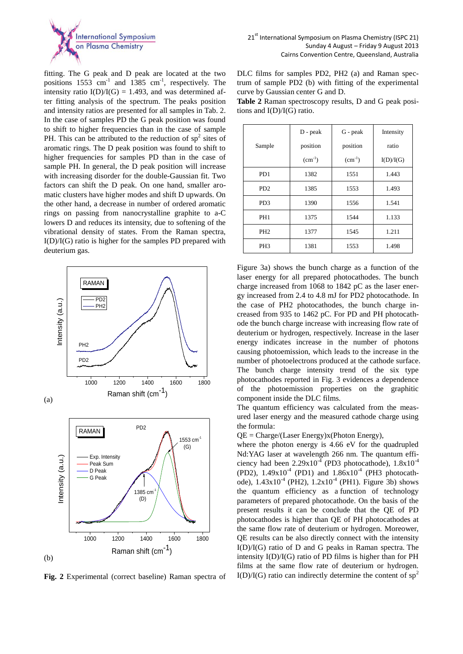

fitting. The G peak and D peak are located at the two positions  $1553$  cm<sup>-1</sup> and  $1385$  cm<sup>-1</sup>, respectively. The intensity ratio  $I(D)/I(G) = 1.493$ , and was determined after fitting analysis of the spectrum. The peaks position and intensity ratios are presented for all samples in Tab. 2. In the case of samples PD the G peak position was found to shift to higher frequencies than in the case of sample PH. This can be attributed to the reduction of  $sp<sup>2</sup>$  sites of aromatic rings. The D peak position was found to shift to higher frequencies for samples PD than in the case of sample PH. In general, the D peak position will increase with increasing disorder for the double-Gaussian fit. Two factors can shift the D peak. On one hand, smaller aromatic clusters have higher modes and shift D upwards. On the other hand, a decrease in number of ordered aromatic rings on passing from nanocrystalline graphite to a-C lowers D and reduces its intensity, due to softening of the vibrational density of states. From the Raman spectra, I(D)/I(G) ratio is higher for the samples PD prepared with deuterium gas.



**Fig. 2** Experimental (correct baseline) Raman spectra of

DLC films for samples PD2, PH2 (a) and Raman spectrum of sample PD2 (b) with fitting of the experimental curve by Gaussian center G and D.

**Table 2** Raman spectroscopy results, D and G peak positions and I(D)/I(G) ratio.

|                             | $D - peak$  | G - peak    | Intensity |
|-----------------------------|-------------|-------------|-----------|
| Sample                      | position    | position    | ratio     |
|                             | $(cm^{-1})$ | $(cm^{-1})$ | I(D)/I(G) |
| P <sub>D</sub> 1            | 1382        | 1551        | 1.443     |
| P <sub>D</sub> <sub>2</sub> | 1385        | 1553        | 1.493     |
| PD <sub>3</sub>             | 1390        | 1556        | 1.541     |
| PH <sub>1</sub>             | 1375        | 1544        | 1.133     |
| PH <sub>2</sub>             | 1377        | 1545        | 1.211     |
| PH <sub>3</sub>             | 1381        | 1553        | 1.498     |

Figure 3a) shows the bunch charge as a function of the laser energy for all prepared photocathodes. The bunch charge increased from 1068 to 1842 pC as the laser energy increased from 2.4 to 4.8 mJ for PD2 photocathode. In the case of PH2 photocathodes, the bunch charge increased from 935 to 1462 pC. For PD and PH photocathode the bunch charge increase with increasing flow rate of deuterium or hydrogen, respectively. Increase in the laser energy indicates increase in the number of photons causing photoemission, which leads to the increase in the number of photoelectrons produced at the cathode surface. The bunch charge intensity trend of the six type photocathodes reported in Fig. 3 evidences a dependence of the photoemission properties on the graphitic component inside the DLC films.

The quantum efficiency was calculated from the measured laser energy and the measured cathode charge using the formula:

 $QE = Charge/(Laser Energy)x(Photon Energy),$ 

where the photon energy is 4.66 eV for the quadrupled Nd:YAG laser at wavelength 266 nm. The quantum efficiency had been  $2.29 \times 10^{-4}$  (PD3 photocathode),  $1.8 \times 10^{-4}$ (PD2),  $1.49x10^{-4}$  (PD1) and  $1.86x10^{-4}$  (PH3 photocathode),  $1.43 \times 10^{-4}$  (PH2),  $1.2 \times 10^{-4}$  (PH1). Figure 3b) shows the quantum efficiency as a function of technology parameters of prepared photocathode. On the basis of the present results it can be conclude that the QE of PD photocathodes is higher than QE of PH photocathodes at the same flow rate of deuterium or hydrogen. Moreower, QE results can be also directly connect with the intensity  $I(D)/I(G)$  ratio of D and G peaks in Raman spectra. The intensity I(D)/I(G) ratio of PD films is higher than for PH films at the same flow rate of deuterium or hydrogen.  $I(D)/I(G)$  ratio can indirectly determine the content of sp<sup>2</sup>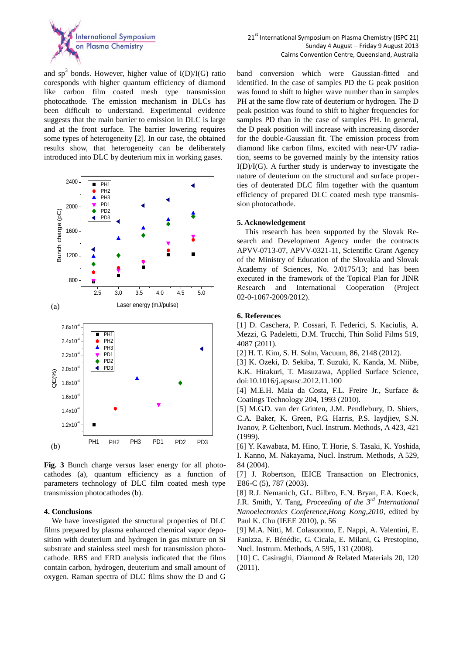

and sp<sup>3</sup> bonds. However, higher value of  $I(D)/I(G)$  ratio coresponds with higher quantum efficiency of diamond like carbon film coated mesh type transmission photocathode. The emission mechanism in DLCs has been difficult to understand. Experimental evidence suggests that the main barrier to emission in DLC is large and at the front surface. The barrier lowering requires some types of heterogeneity [2]. In our case, the obtained results show, that heterogeneity can be deliberately introduced into DLC by deuterium mix in working gases.



**Fig. 3** Bunch charge versus laser energy for all photocathodes (a), quantum efficiency as a function of parameters technology of DLC film coated mesh type transmission photocathodes (b).

#### **4. Conclusions**

 We have investigated the structural properties of DLC films prepared by plasma enhanced chemical vapor deposition with deuterium and hydrogen in gas mixture on Si substrate and stainless steel mesh for transmission photocathode. RBS and ERD analysis indicated that the films contain carbon, hydrogen, deuterium and small amount of oxygen. Raman spectra of DLC films show the D and G

band conversion which were Gaussian-fitted and identified. In the case of samples PD the G peak position was found to shift to higher wave number than in samples PH at the same flow rate of deuterium or hydrogen. The D peak position was found to shift to higher frequencies for samples PD than in the case of samples PH. In general, the D peak position will increase with increasing disorder for the double-Gaussian fit. The emission process from diamond like carbon films, excited with near-UV radiation, seems to be governed mainly by the intensity ratios  $I(D)/I(G)$ . A further study is underway to investigate the nature of deuterium on the structural and surface properties of deuterated DLC film together with the quantum efficiency of prepared DLC coated mesh type transmission photocathode.

### **5. Acknowledgement**

 This research has been supported by the Slovak Research and Development Agency under the contracts APVV-0713-07, APVV-0321-11, Scientific Grant Agency of the Ministry of Education of the Slovakia and Slovak Academy of Sciences, No. 2/0175/13; and has been executed in the framework of the Topical Plan for JINR Research and International Cooperation (Project 02-0-1067-2009/2012).

#### **6. References**

[1] D. Caschera, P. Cossari, F. Federici, S. Kaciulis, A. Mezzi, G. Padeletti, D.M. Trucchi, Thin Solid Films 519, 4087 (2011).

[2] H. T. Kim, S. H. Sohn, Vacuum, 86, 2148 (2012).

[3] K. Ozeki, D. Sekiba, T. Suzuki, K. Kanda, M. Niibe, K.K. Hirakuri, T. Masuzawa, Applied Surface Science, doi:10.1016/j.apsusc.2012.11.100

[4] M.E.H. Maia da Costa, F.L. Freire Jr., Surface & Coatings Technology 204, 1993 (2010).

[5] M.G.D. van der Grinten, J.M. Pendlebury, D. Shiers, C.A. Baker, K. Green, P.G. Harris, P.S. Iaydjiev, S.N. Ivanov, P. Geltenbort, Nucl. Instrum. Methods, A 423, 421 (1999).

[6] Y. Kawabata, M. Hino, T. Horie, S. Tasaki, K. Yoshida, I. Kanno, M. Nakayama, Nucl. Instrum. Methods, A 529, 84 (2004).

[7] J. Robertson, IEICE Transaction on Electronics, E86-C (5), 787 (2003).

[8] R.J. Nemanich, G.L. Bilbro, E.N. Bryan, F.A. Koeck, J.R. Smith, Y. Tang, *Proceeding of the 3rd International Nanoelectronics Conference,Hong Kong,2010,* edited by Paul K. Chu (IEEE 2010), p. 56

[9] M.A. Nitti, M. Colasuonno, E. Nappi, A. Valentini, E. Fanizza, F. Bénédic, G. Cicala, E. Milani, G. Prestopino, Nucl. Instrum. Methods, A 595, 131 (2008).

[10] C. Casiraghi, Diamond & Related Materials 20, 120 (2011).